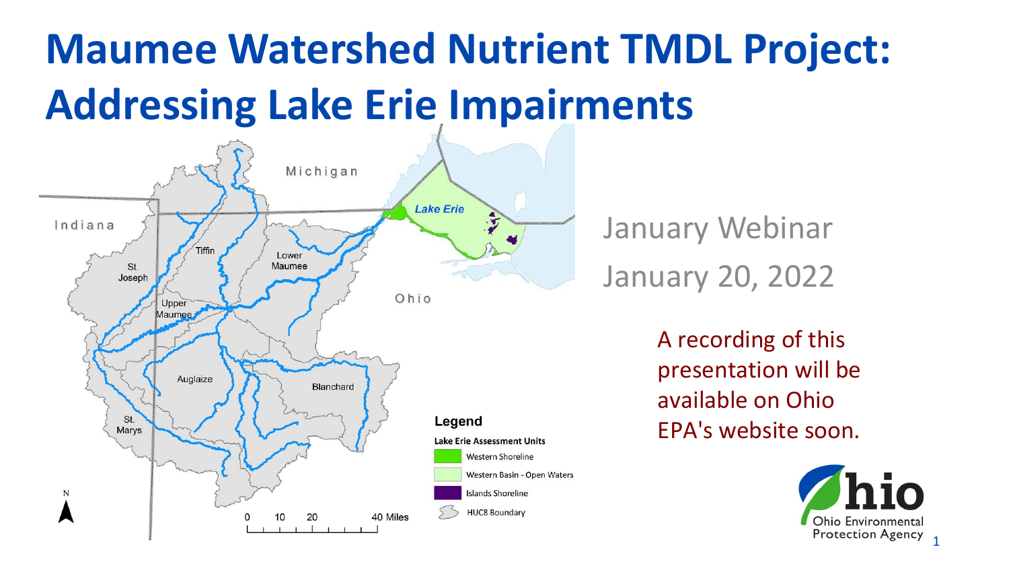# **Maumee Watershed Nutrient TMDL Project: Addressing Lake Erie Impairments**



January Webinar January 20, 2022

> A recording of this presentation will be available on Ohio EPA's website soon.

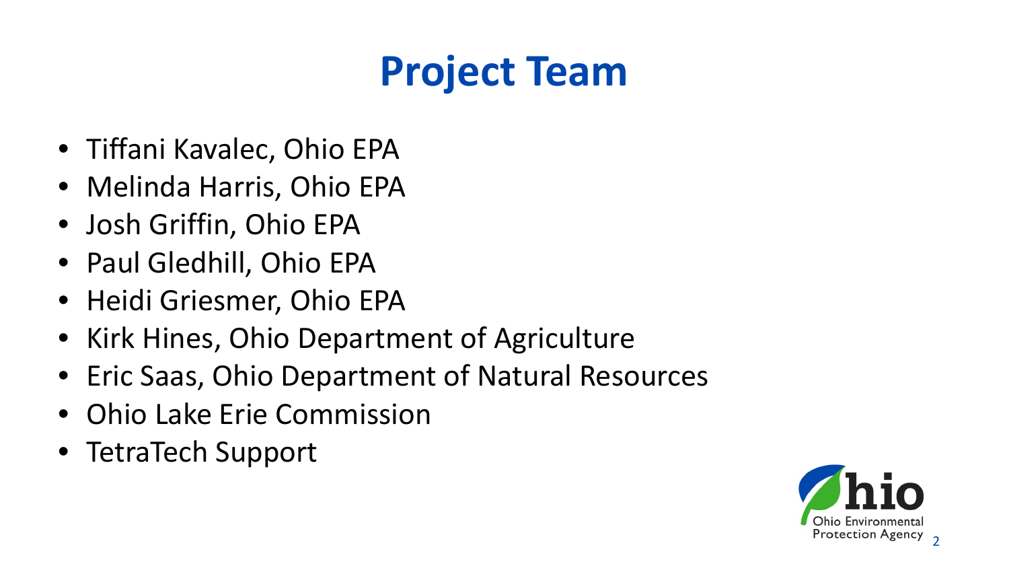## **Project Team**

- Tiffani Kavalec, Ohio EPA
- Melinda Harris, Ohio EPA
- Josh Griffin, Ohio EPA
- Paul Gledhill, Ohio EPA
- Heidi Griesmer, Ohio EPA
- Kirk Hines, Ohio Department of Agriculture
- Eric Saas, Ohio Department of Natural Resources
- Ohio Lake Erie Commission
- TetraTech Support

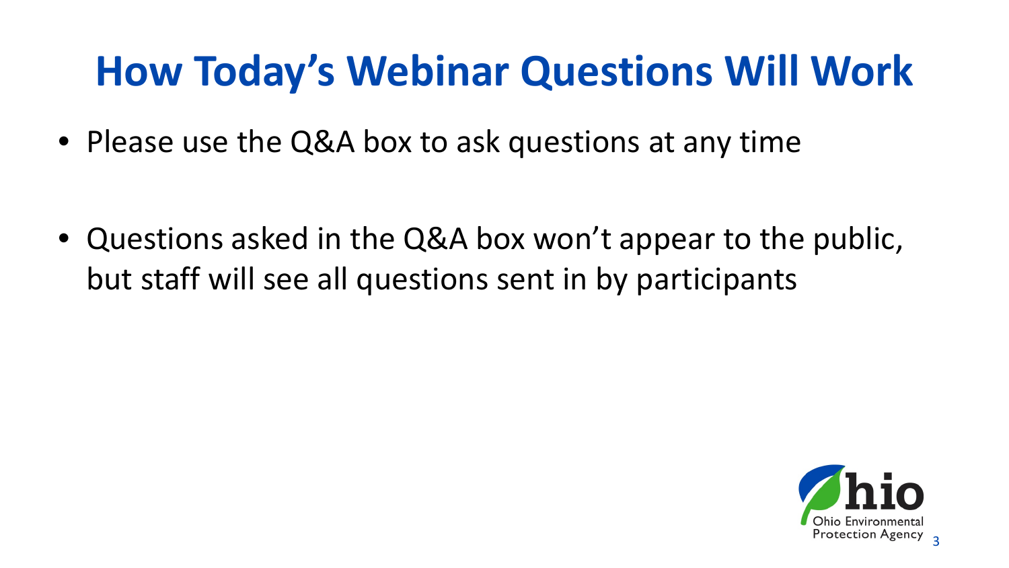#### **How Today's Webinar Questions Will Work**

• Please use the Q&A box to ask questions at any time

• Questions asked in the Q&A box won't appear to the public, but staff will see all questions sent in by participants

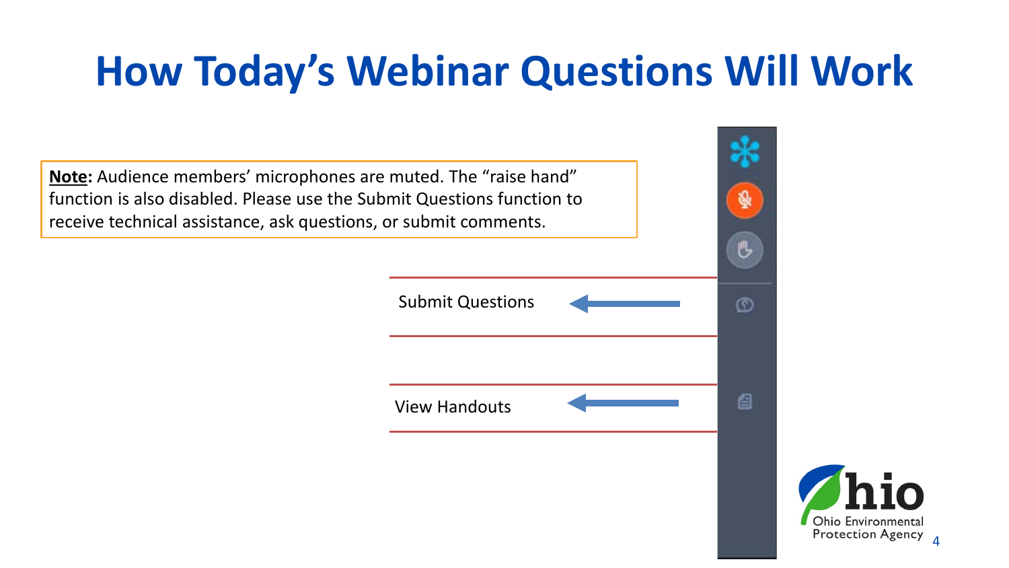#### **How Today's Webinar Questions Will Work**



4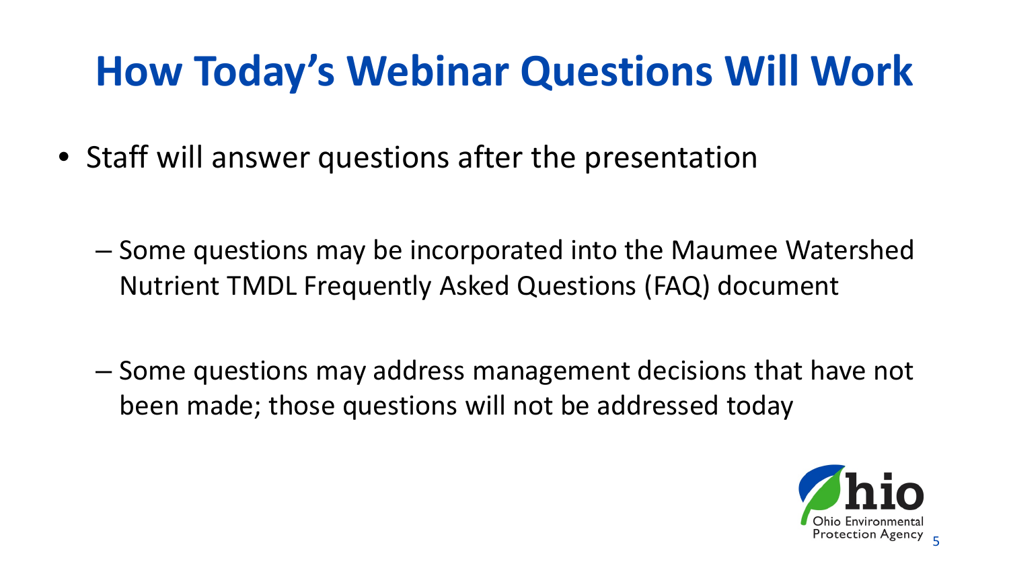#### **How Today's Webinar Questions Will Work**

• Staff will answer questions after the presentation

- Some questions may be incorporated into the Maumee Watershed Nutrient TMDL Frequently Asked Questions (FAQ) document
- Some questions may address management decisions that have not been made; those questions will not be addressed today

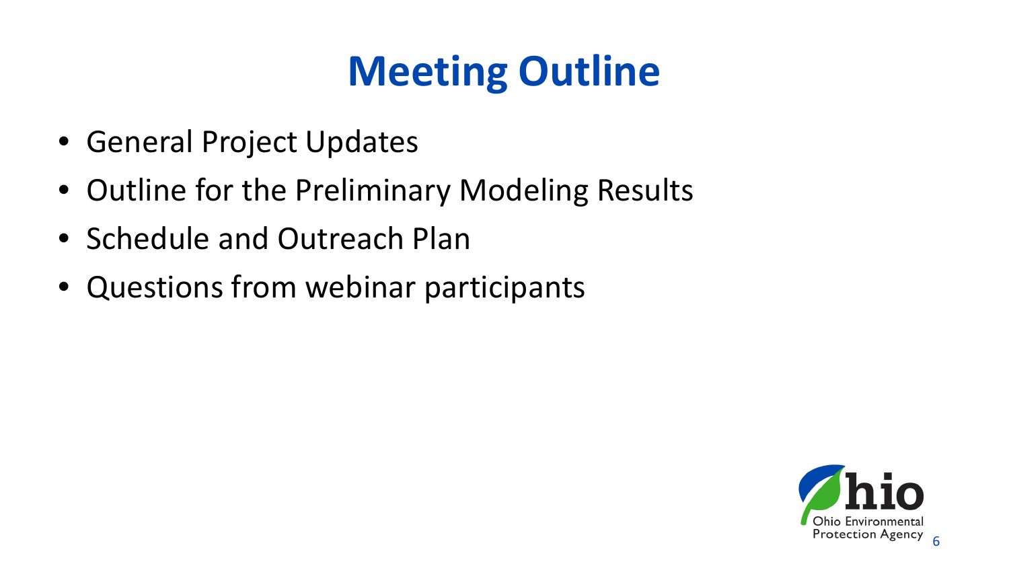## **Meeting Outline**

- General Project Updates
- Outline for the Preliminary Modeling Results
- Schedule and Outreach Plan
- Questions from webinar participants

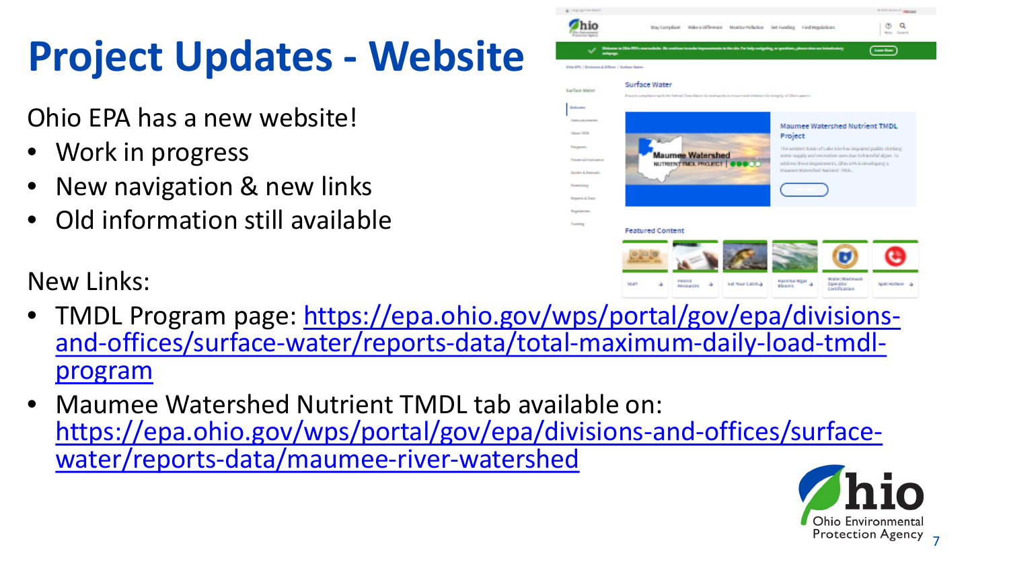# **Project Updates - Website**

#### Ohio EPA has a new website!

- Work in progress
- New navigation & new links
- Old information still available

New Links:



- TMDL Program page: https://epa.ohio.gov/wps/portal/gov/epa/divisions-<br>[and-offices/surface-water/reports-data/total-maximum-daily-load-tmdl-](https://epa.ohio.gov/wps/portal/gov/epa/divisions-and-offices/surface-water/reports-data/total-maximum-daily-load-tmdl-program)<br>program
- Maumee Watershed Nutrient TMDL tab available on: [https://epa.ohio.gov/wps/portal/gov/epa/divisions-and-offices/surface-](https://epa.ohio.gov/wps/portal/gov/epa/divisions-and-offices/surface-water/reports-data/maumee-river-watershed) water/reports-data/maumee-river-watershed

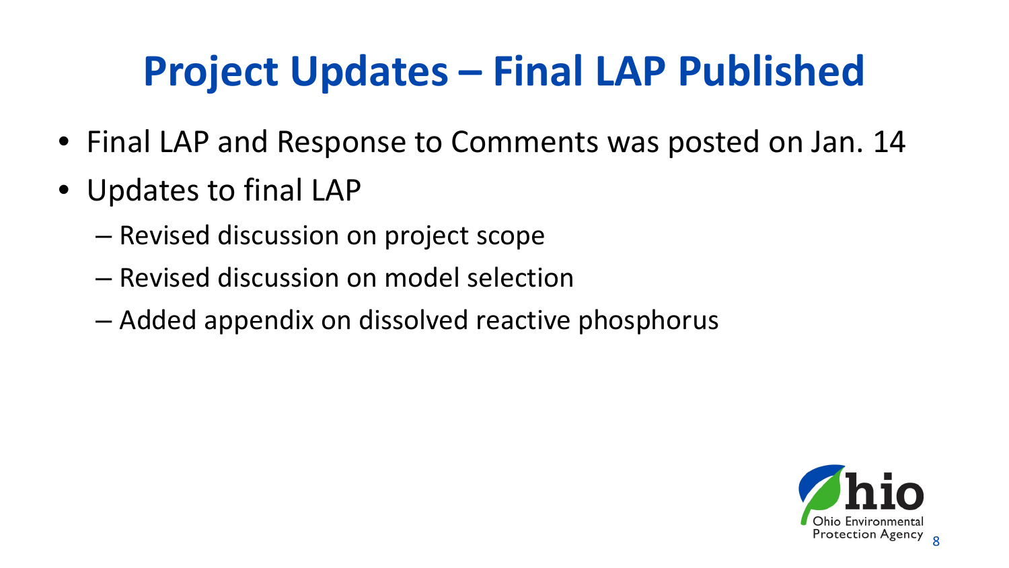## **Project Updates – Final LAP Published**

- Final LAP and Response to Comments was posted on Jan. 14
- Updates to final LAP
	- Revised discussion on project scope
	- Revised discussion on model selection
	- Added appendix on dissolved reactive phosphorus

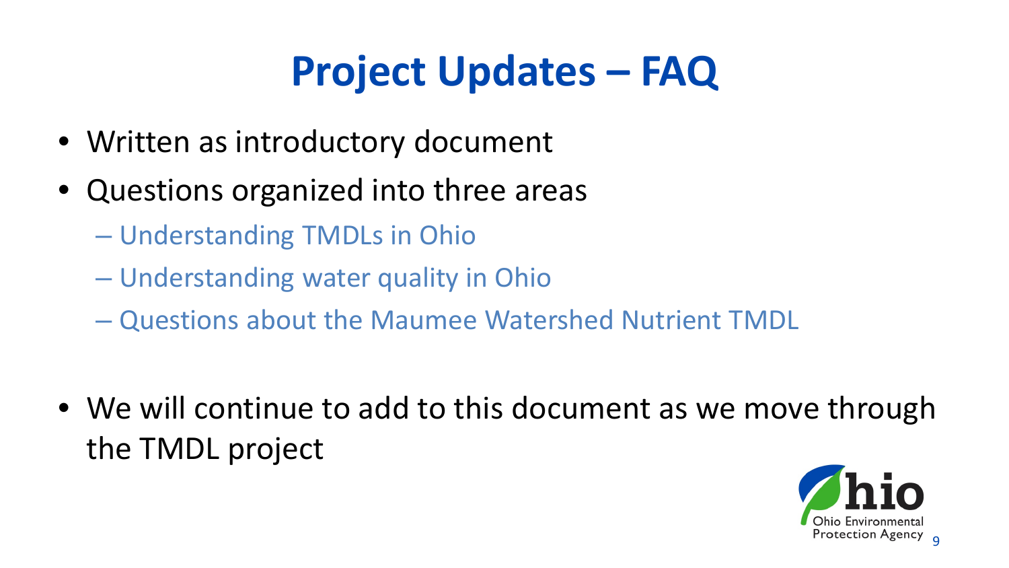## **Project Updates – FAQ**

- Written as introductory document
- Questions organized into three areas
	- Understanding TMDLs in Ohio
	- Understanding water quality in Ohio
	- Questions about the Maumee Watershed Nutrient TMDL
- We will continue to add to this document as we move through the TMDL project

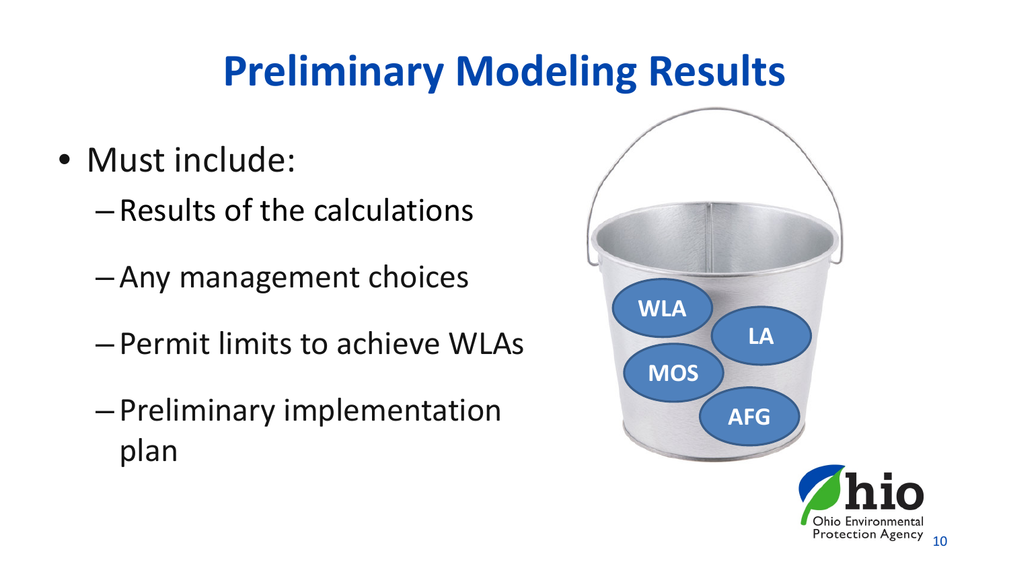#### **Preliminary Modeling Results**

- Must include:
	- Results of the calculations
	- Any management choices
	- Permit limits to achieve WLAs
	- Preliminary implementation plan

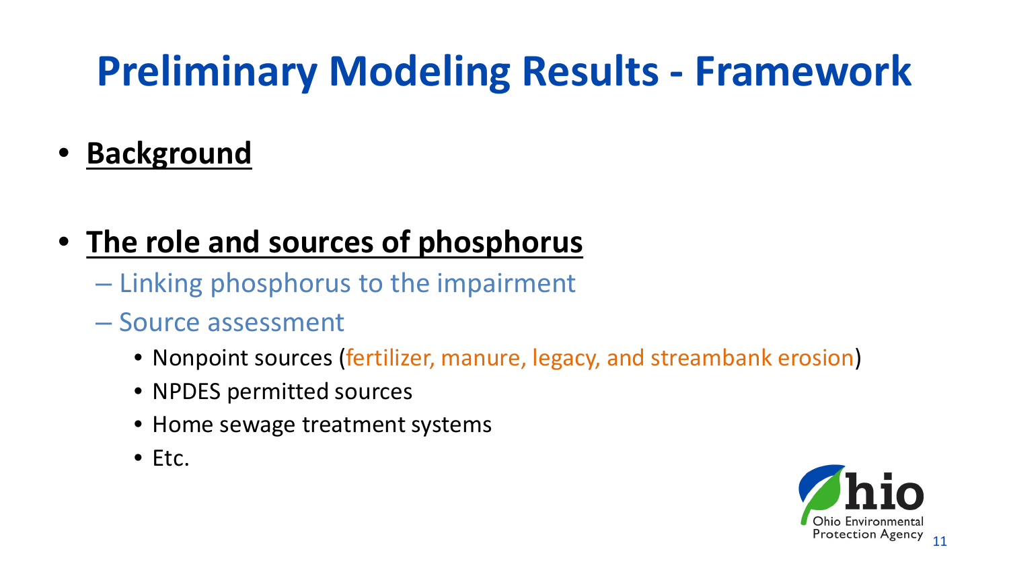- **Background**
- **The role and sources of phosphorus**
	- Linking phosphorus to the impairment
	- Source assessment
		- Nonpoint sources (fertilizer, manure, legacy, and streambank erosion)
		- NPDES permitted sources
		- Home sewage treatment systems
		- Etc.

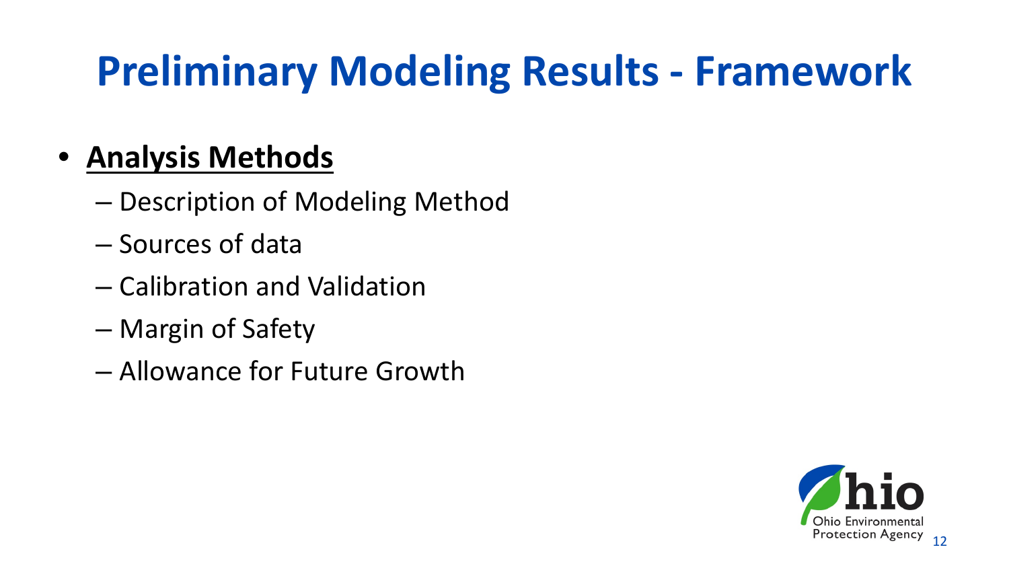#### • **Analysis Methods**

- Description of Modeling Method
- Sources of data
- Calibration and Validation
- Margin of Safety
- Allowance for Future Growth

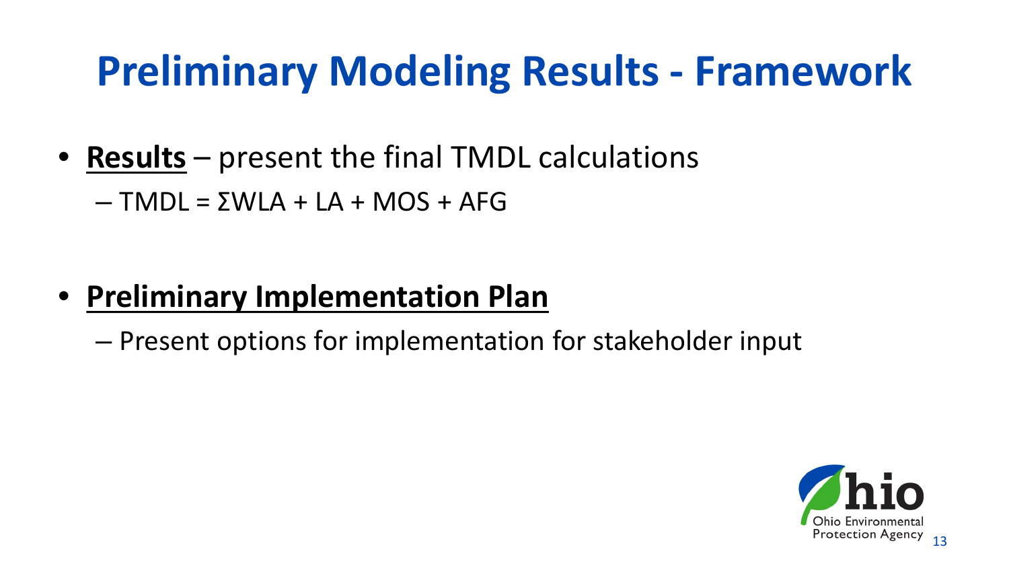- **Results** present the final TMDL calculations
	- $-$  TMDL =  $\Sigma WLA + LA + MOS + AFG$

- **Preliminary Implementation Plan**
	- Present options for implementation for stakeholder input

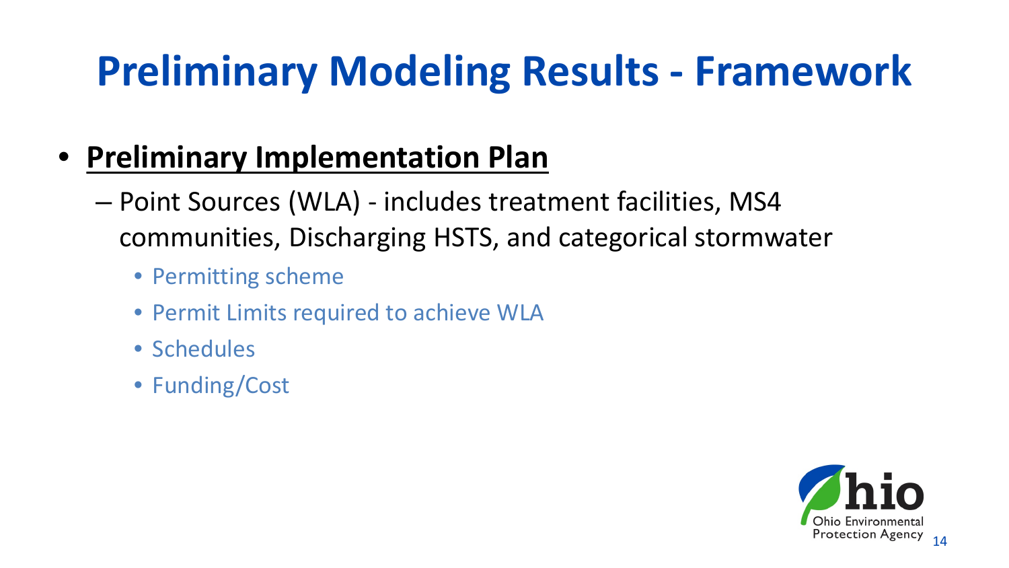- **Preliminary Implementation Plan**
	- Point Sources (WLA) includes treatment facilities, MS4 communities, Discharging HSTS, and categorical stormwater
		- Permitting scheme
		- Permit Limits required to achieve WLA
		- Schedules
		- Funding/Cost

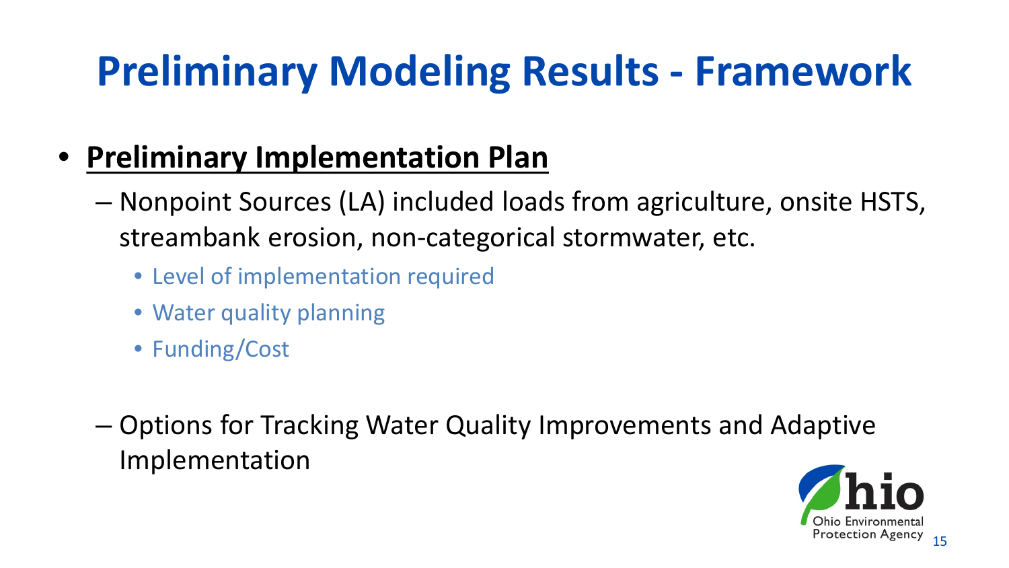- **Preliminary Implementation Plan**
	- Nonpoint Sources (LA) included loads from agriculture, onsite HSTS, streambank erosion, non-categorical stormwater, etc.
		- Level of implementation required
		- Water quality planning
		- Funding/Cost
	- Options for Tracking Water Quality Improvements and Adaptive Implementation

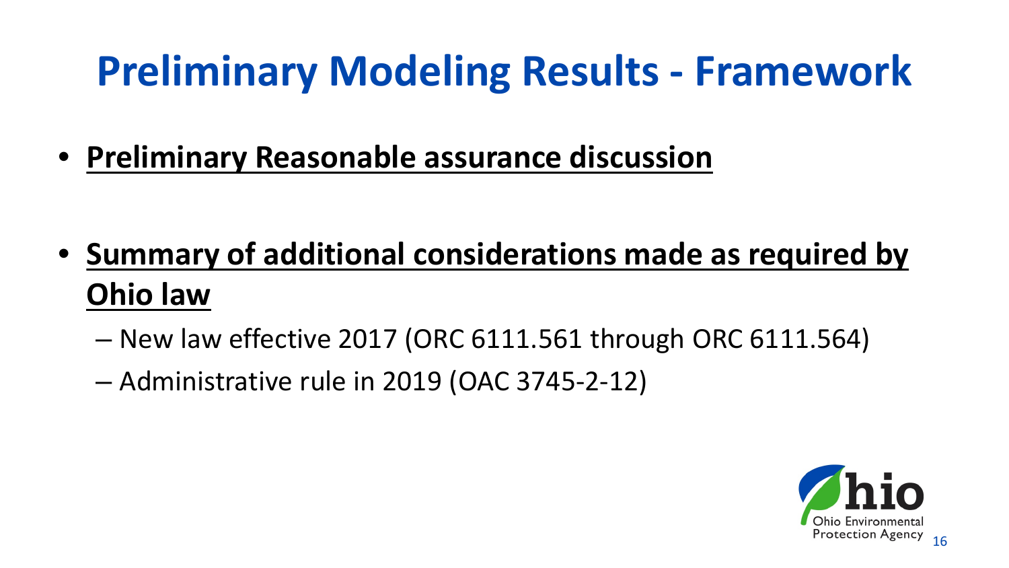• **Preliminary Reasonable assurance discussion**

- **Summary of additional considerations made as required by Ohio law**
	- New law effective 2017 (ORC 6111.561 through ORC 6111.564)
	- Administrative rule in 2019 (OAC 3745-2-12)

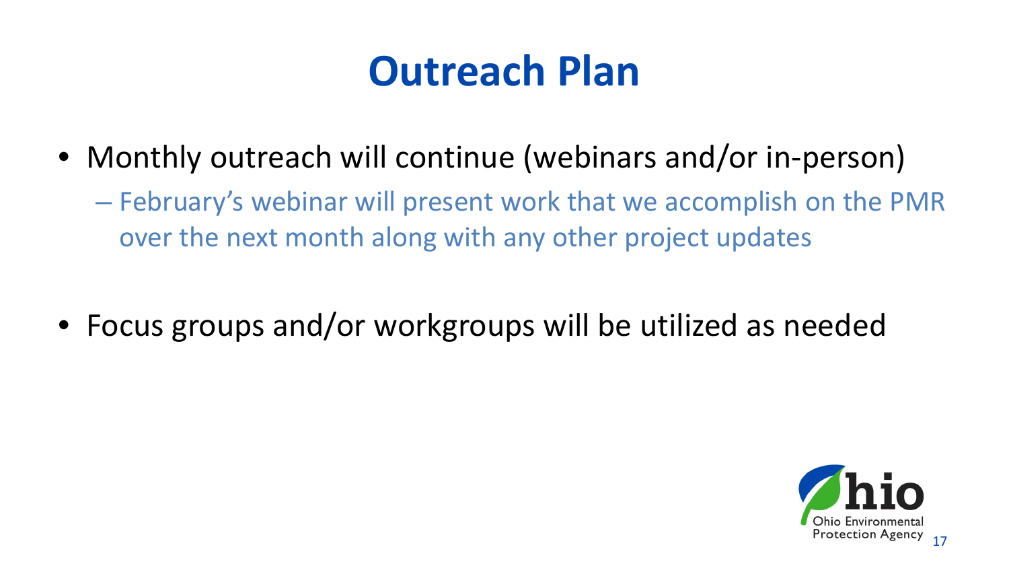#### **Outreach Plan**

- Monthly outreach will continue (webinars and/or in-person)
	- February's webinar will present work that we accomplish on the PMR over the next month along with any other project updates
- Focus groups and/or workgroups will be utilized as needed

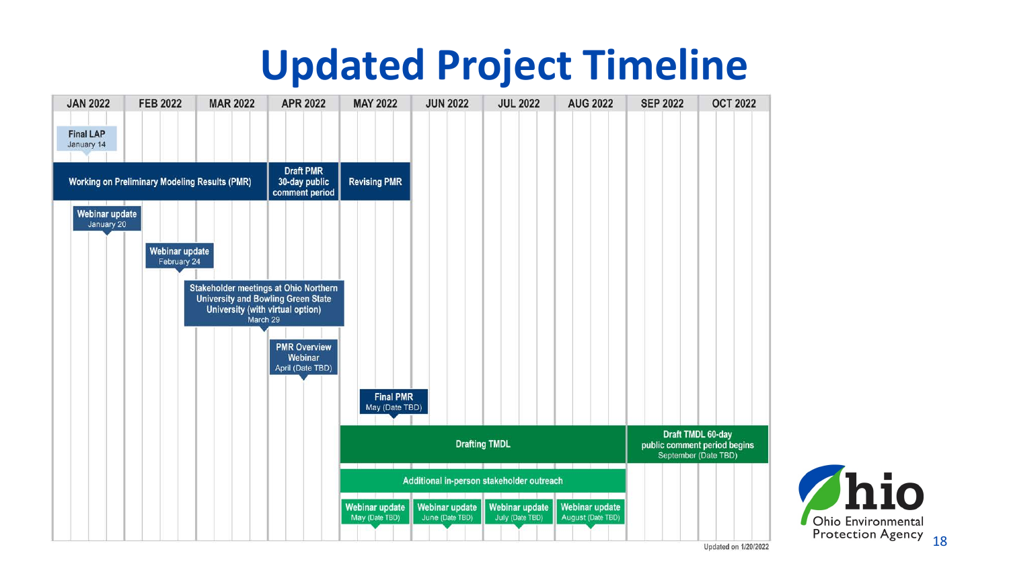#### **Updated Project Timeline**